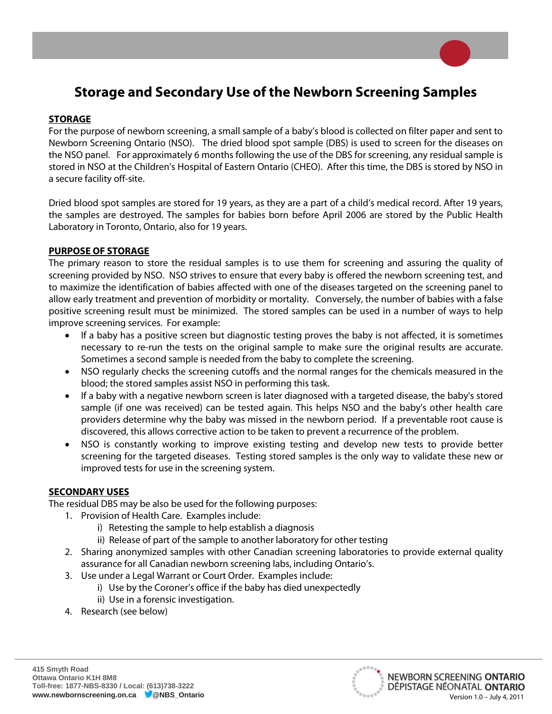# **Storage and Secondary Use of the Newborn Screening Samples**

## **STORAGE**

For the purpose of newborn screening, a small sample of a baby's blood is collected on filter paper and sent to Newborn Screening Ontario (NSO). The dried blood spot sample (DBS) is used to screen for the diseases on the NSO panel. For approximately 6 months following the use of the DBS for screening, any residual sample is stored in NSO at the Children's Hospital of Eastern Ontario (CHEO). After this time, the DBS is stored by NSO in a secure facility off-site.

Dried blood spot samples are stored for 19 years, as they are a part of a child's medical record. After 19 years, the samples are destroyed. The samples for babies born before April 2006 are stored by the Public Health Laboratory in Toronto, Ontario, also for 19 years.

## **PURPOSE OF STORAGE**

The primary reason to store the residual samples is to use them for screening and assuring the quality of screening provided by NSO. NSO strives to ensure that every baby is offered the newborn screening test, and to maximize the identification of babies affected with one of the diseases targeted on the screening panel to allow early treatment and prevention of morbidity or mortality. Conversely, the number of babies with a false positive screening result must be minimized. The stored samples can be used in a number of ways to help improve screening services. For example:

- If a baby has a positive screen but diagnostic testing proves the baby is not affected, it is sometimes necessary to re-run the tests on the original sample to make sure the original results are accurate. Sometimes a second sample is needed from the baby to complete the screening.
- NSO regularly checks the screening cutoffs and the normal ranges for the chemicals measured in the blood; the stored samples assist NSO in performing this task.
- If a baby with a negative newborn screen is later diagnosed with a targeted disease, the baby's stored sample (if one was received) can be tested again. This helps NSO and the baby's other health care providers determine why the baby was missed in the newborn period. If a preventable root cause is discovered, this allows corrective action to be taken to prevent a recurrence of the problem.
- NSO is constantly working to improve existing testing and develop new tests to provide better screening for the targeted diseases. Testing stored samples is the only way to validate these new or improved tests for use in the screening system.

#### **SECONDARY USES**

The residual DBS may be also be used for the following purposes:

- 1. Provision of Health Care. Examples include:
	- i) Retesting the sample to help establish a diagnosis
	- ii) Release of part of the sample to another laboratory for other testing
- 2. Sharing anonymized samples with other Canadian screening laboratories to provide external quality assurance for all Canadian newborn screening labs, including Ontario's.
- 3. Use under a Legal Warrant or Court Order. Examples include:
	- i) Use by the Coroner's office if the baby has died unexpectedly
	- ii) Use in a forensic investigation.
- 4. Research (see below)